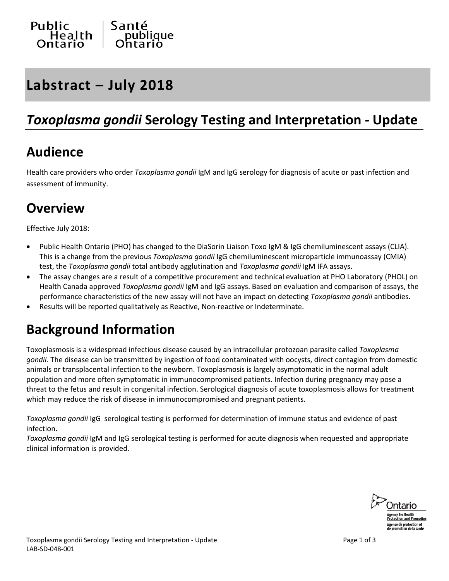

## **Labstract – July 2018**

### *Toxoplasma gondii* **Serology Testing and Interpretation - Update**

#### **Audience**

Health care providers who order *Toxoplasma gondii* IgM and IgG serology for diagnosis of acute or past infection and assessment of immunity.

### **Overview**

Effective July 2018:

- Public Health Ontario (PHO) has changed to the DiaSorin Liaison Toxo IgM & IgG chemiluminescent assays (CLIA). This is a change from the previous *Toxoplasma gondii* IgG chemiluminescent microparticle immunoassay (CMIA) test, the *Toxoplasma gondii* total antibody agglutination and *Toxoplasma gondii* IgM IFA assays.
- The assay changes are a result of a competitive procurement and technical evaluation at PHO Laboratory (PHOL) on Health Canada approved *Toxoplasma gondii* IgM and IgG assays. Based on evaluation and comparison of assays, the performance characteristics of the new assay will not have an impact on detecting *Toxoplasma gondii* antibodies.
- Results will be reported qualitatively as Reactive, Non-reactive or Indeterminate.

#### **Background Information**

Toxoplasmosis is a widespread infectious disease caused by an intracellular protozoan parasite called *Toxoplasma gondii.* The disease can be transmitted by ingestion of food contaminated with oocysts, direct contagion from domestic animals or transplacental infection to the newborn. Toxoplasmosis is largely asymptomatic in the normal adult population and more often symptomatic in immunocompromised patients. Infection during pregnancy may pose a threat to the fetus and result in congenital infection. Serological diagnosis of acute toxoplasmosis allows for treatment which may reduce the risk of disease in immunocompromised and pregnant patients.

*Toxoplasma gondii* IgG serological testing is performed for determination of immune status and evidence of past infection.

*Toxoplasma gondii* IgM and IgG serological testing is performed for acute diagnosis when requested and appropriate clinical information is provided.

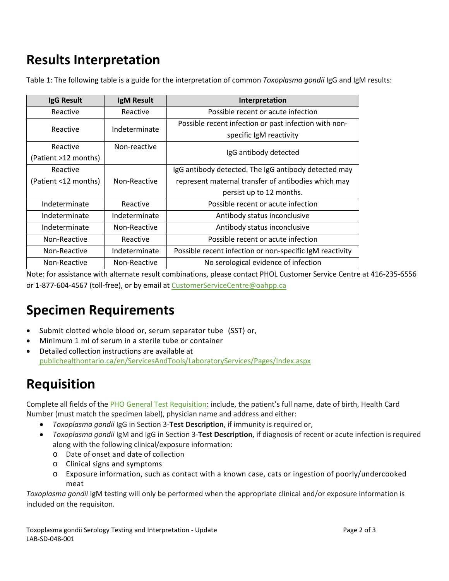## **Results Interpretation**

Table 1: The following table is a guide for the interpretation of common *Toxoplasma gondii* IgG and IgM results:

| IgG Result           | IgM Result    | Interpretation                                           |
|----------------------|---------------|----------------------------------------------------------|
| Reactive             | Reactive      | Possible recent or acute infection                       |
| Reactive             | Indeterminate | Possible recent infection or past infection with non-    |
|                      |               | specific IgM reactivity                                  |
| Reactive             | Non-reactive  | IgG antibody detected                                    |
| (Patient >12 months) |               |                                                          |
| Reactive             |               | IgG antibody detected. The IgG antibody detected may     |
| (Patient <12 months) | Non-Reactive  | represent maternal transfer of antibodies which may      |
|                      |               | persist up to 12 months.                                 |
| Indeterminate        | Reactive      | Possible recent or acute infection                       |
| Indeterminate        | Indeterminate | Antibody status inconclusive                             |
| Indeterminate        | Non-Reactive  | Antibody status inconclusive                             |
| Non-Reactive         | Reactive      | Possible recent or acute infection                       |
| Non-Reactive         | Indeterminate | Possible recent infection or non-specific IgM reactivity |
| Non-Reactive         | Non-Reactive  | No serological evidence of infection                     |

Note: for assistance with alternate result combinations, please contact PHOL Customer Service Centre at 416-235-6556 or 1-877-604-4567 (toll-free), or by email at [CustomerServiceCentre@oahpp.ca](mailto:CustomerServiceCentre@oahpp.ca)

# **Specimen Requirements**

- Submit clotted whole blood or, serum separator tube (SST) or,
- Minimum 1 ml of serum in a sterile tube or container
- Detailed collection instructions are available at [publichealthontario.ca/en/ServicesAndTools/LaboratoryServices/Pages/Index.aspx](http://www.publichealthontario.ca/en/ServicesAndTools/LaboratoryServices/Pages/Index.aspx)

# **Requisition**

Complete all fields of the [PHO General Test Requisition:](http://www.publichealthontario.ca/en/ServicesAndTools/LaboratoryServices/Pages/Requisitions-and-forms.aspx) include, the patient's full name, date of birth, Health Card Number (must match the specimen label), physician name and address and either:

- *Toxoplasma gondii* IgG in Section 3-**Test Description**, if immunity is required or,
- *Toxoplasma gondii* IgM and IgG in Section 3-**Test Description**, if diagnosis of recent or acute infection is required along with the following clinical/exposure information:
	- o Date of onset and date of collection
	- o Clinical signs and symptoms
	- o Exposure information, such as contact with a known case, cats or ingestion of poorly/undercooked meat

*Toxoplasma gondii* IgM testing will only be performed when the appropriate clinical and/or exposure information is included on the requisiton.